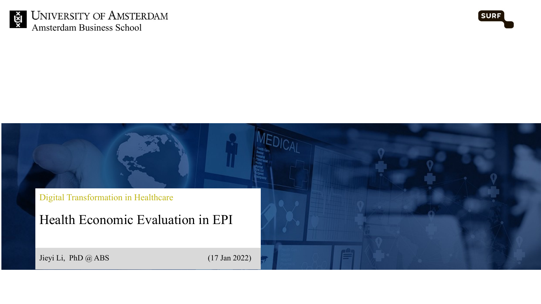



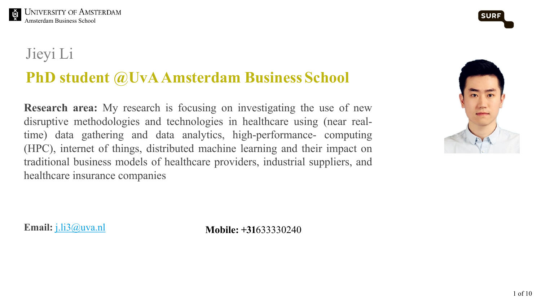

**EXECUTER STATE SCHOOLS**<br>Amsterdam Business School

### Jieyi Li

# **PhD** [student](mailto:j.li3@uva.nl)  $@$ UvA Amsterdam Business Schoo

**Research area:** My research is focusing on investigating the use of disruptive methodologies and technologies in healthcare using (near time) data gathering and data analytics, high-performance- com-(HPC), internet of things, distributed machine learning and their impactually traditional business models of healthcare providers, industrial supplier healthcare insurance companies

**Email:** j.li3@uva.nl **Mobile: +31**633330240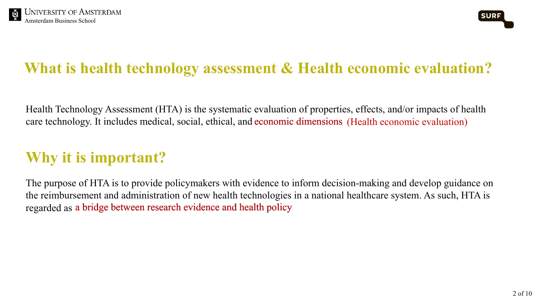



# **What is health technology assessment & Health economic evaluation?**

Health Technology Assessment (HTA) is the systematic evaluation of properties, effects, and/or impacts of health care technology. It includes medical, social, ethical, and economic dimensions (Health economic evaluation)

# **Why it is important?**

The purpose of HTA is to provide policymakers with evidence to inform decision-making and develop guidance on the reimbursement and administration of new health technologies in a national healthcare system. As such, HTA is regarded as a bridge between research evidence and health policy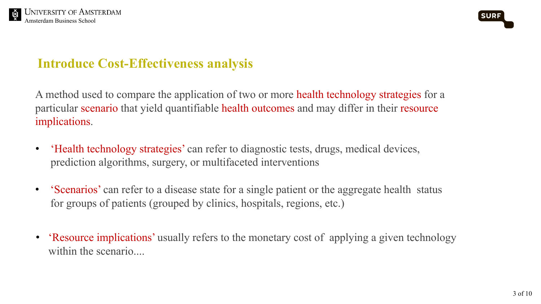



### **Introduce Cost-Effectiveness analysis**

A method used to compare the application of two or more health technology strategies for a particular scenario that yield quantifiable health outcomes and may differ in their resource implications.

- 'Health technology strategies' can refer to diagnostic tests, drugs, medical devices, prediction algorithms, surgery, or multifaceted interventions
- 'Scenarios' can refer to a disease state for a single patient or the aggregate health status for groups of patients (grouped by clinics, hospitals, regions, etc.)
- 'Resource implications' usually refers to the monetary cost of applying a given technology within the scenario....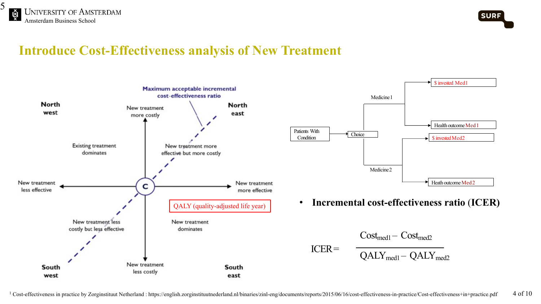



### **Introduce Cost-Effectiveness analysis of New Treatment**





• **Incremental cost-effectiveness ratio** (**ICER)**

$$
\mathrm{Cost}_{\mathrm{med1}}\mathrm{-}\ \mathrm{Cost}_{\mathrm{med2}}
$$

$$
QALY_{\text{med1}} - QALY_{\text{med2}}
$$

 $ICER =$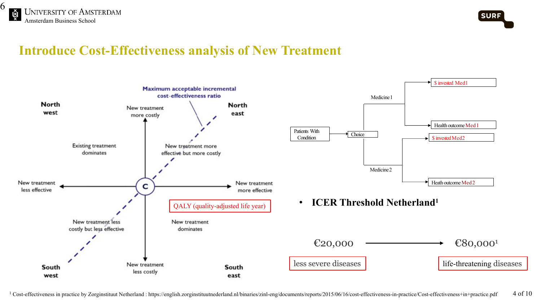



### **Introduce Cost-Effectiveness analysis of New Treatment**

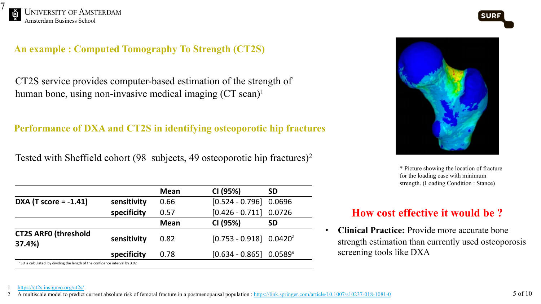

### **An example : Computed Tomography To Strength (CT2S)**

CT2S service provides computer-based estimation of the strength of human bone, using non-invasive medical imaging (CT scan)<sup>1</sup>

### **Performance of DXA and CT2S in identifying osteoporotic hip fractures**

Tested with Sheffield cohort (98 subjects, 49 osteoporotic [hip fractures\)2](https://link.springer.com/article/10.1007/s10237-018-1081-0)

|                                                                                         |             | <b>Mean</b> | CI (95%)                              | <b>SD</b> |
|-----------------------------------------------------------------------------------------|-------------|-------------|---------------------------------------|-----------|
| <b>DXA</b> (T score = $-1.41$ )                                                         | sensitivity | 0.66        | $[0.524 - 0.796]$ 0.0696              |           |
|                                                                                         | specificity | 0.57        | $[0.426 - 0.711]$ 0.0726              |           |
|                                                                                         |             | <b>Mean</b> | CI (95%)                              | <b>SD</b> |
| <b>CT2S ARFO (threshold</b><br>37.4%)                                                   | sensitivity | 0.82        | $[0.753 - 0.918]$ 0.0420 <sup>a</sup> |           |
|                                                                                         | specificity | 0.78        | $[0.634 - 0.865]$ 0.0589 <sup>a</sup> |           |
| <sup>a</sup> SD is calculated by dividing the length of the confidence interval by 3.92 |             |             |                                       |           |

•  $\mathbf{C}$ 

 $\overline{\text{sc}}$ 

sti

1. https://ct2s.insigneo.org/ct2s/

2. A multiscale model to predict current absolute risk of femoral fracture in a postmenopausal population : https://link.springer.com/article/10.1007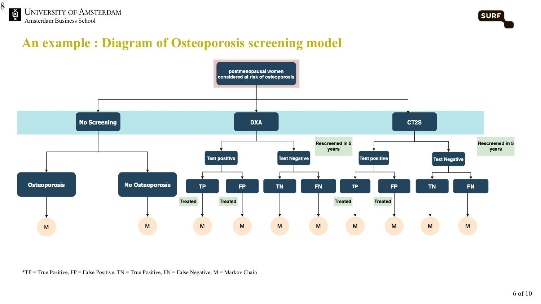



### **An example : Diagram of Osteoporosis screening model**



\*TP = True Positive, FP = False Positive, TN = True Positive, FN = False Negative, M = Markov Chain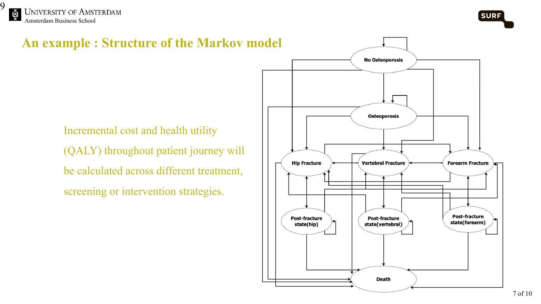



state(forearm)

**An example : Structure of the Markov model No Osteoporosis Osteoporosis** Incremental cost and health utility (QALY) throughout patient journey will **Hip Fracture Vertebral Fracture Forearm Fracture** be calculated across different treatment, screening or intervention strategies.**Post-fracture Post-fracture Post-fracture** 

state(hip)

state(vertebral)

**Death**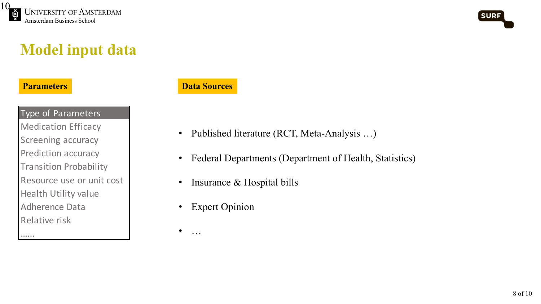



## **Model input data**

#### **Parameters**

…...

#### **Data Sources**

Type of Parameters Medication Efficacy Screening accuracy Prediction accuracy Transition Probability Resource use or unit cost Health Utility value Adherence Data Relative risk

- Published literature (RCT, Meta-Analysis …)
- Federal Departments (Department of Health, Statistics)
- Insurance & Hospital bills
- Expert Opinion
- $\bullet$  …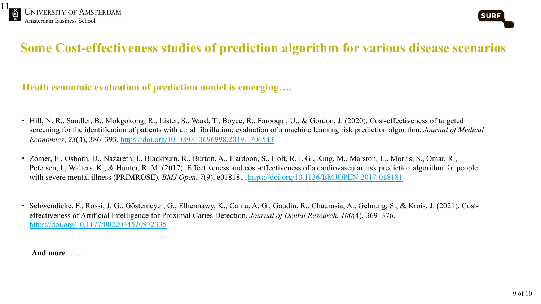

### **Some Cost-effectiveness studies of prediction algorithm**

#### **Heath economic [evaluation](https://doi.org/10.1177/0022034520972335) of prediction model is emerging….**

- Hill, N. R., Sandler, B., Mokgokong, R., Lister, S., Ward, T., Boyce, R., Farooqui, U., & Gordon, J. screening for the identification of patients with atrial fibrillation: evaluation of a machine learning rise *Economics*, *23*(4), 386–393. https://doi.org/10.1080/13696998.2019.1706543
- Zomer, E., Osborn, D., Nazareth, I., Blackburn, R., Burton, A., Hardoon, S., Holt, R. I. G., King, M. Petersen, I., Walters, K., & Hunter, R. M. (2017). Effectiveness and cost-effectiveness of a cardiova with severe mental illness (PRIMROSE). *BMJ Open*, 7(9), e018181. https://doi.org/10.1136/BMJOI
- Schwendicke, F., Rossi, J. G., Göstemeyer, G., Elhennawy, K., Cantu, A. G., Gaudin, R., Chaurasia, effectiveness of Artificial Intelligence for Proximal Caries Detection. *Journal of Dental Research*, 1 https://doi.org/10.1177/0022034520972335

**And more** …….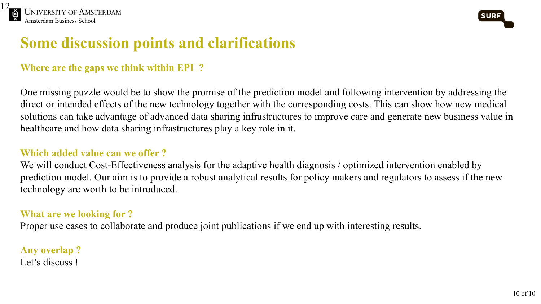



# **Some discussion points and clarifications**

#### **Where are the gaps we think within EPI ?**

One missing puzzle would be to show the promise of the prediction model and following intervention by addressing the direct or intended effects of the new technology together with the corresponding costs. This can show how new medical solutions can take advantage of advanced data sharing infrastructures to improve care and generate new business value in healthcare and how data sharing infrastructures play a key role in it.

#### **Which added value can we offer ?**

We will conduct Cost-Effectiveness analysis for the adaptive health diagnosis / optimized intervention enabled by prediction model. Our aim is to provide a robust analytical results for policy makers and regulators to assess if the new technology are worth to be introduced.

#### **What are we looking for ?**

Proper use cases to collaborate and produce joint publications if we end up with interesting results.

**Any overlap ?** Let's discuss!